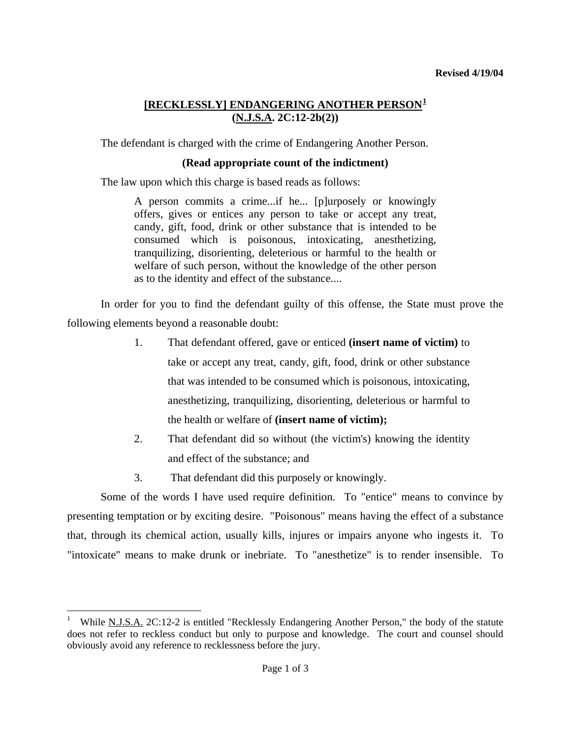# **[RECKLESSLY] ENDANGERING ANOTHER PERSON[1](#page-0-0) (N.J.S.A. 2C:12-2b(2))**

The defendant is charged with the crime of Endangering Another Person.

### **(Read appropriate count of the indictment)**

The law upon which this charge is based reads as follows:

A person commits a crime...if he... [p]urposely or knowingly offers, gives or entices any person to take or accept any treat, candy, gift, food, drink or other substance that is intended to be consumed which is poisonous, intoxicating, anesthetizing, tranquilizing, disorienting, deleterious or harmful to the health or welfare of such person, without the knowledge of the other person as to the identity and effect of the substance....

 In order for you to find the defendant guilty of this offense, the State must prove the following elements beyond a reasonable doubt:

- 1. That defendant offered, gave or enticed **(insert name of victim)** to take or accept any treat, candy, gift, food, drink or other substance that was intended to be consumed which is poisonous, intoxicating, anesthetizing, tranquilizing, disorienting, deleterious or harmful to the health or welfare of **(insert name of victim);**
- 2. That defendant did so without (the victim's) knowing the identity and effect of the substance; and
- 3. That defendant did this purposely or knowingly.

 $\overline{a}$ 

Some of the words I have used require definition. To "entice" means to convince by presenting temptation or by exciting desire. "Poisonous" means having the effect of a substance that, through its chemical action, usually kills, injures or impairs anyone who ingests it. To "intoxicate" means to make drunk or inebriate. To "anesthetize" is to render insensible. To

<span id="page-0-1"></span><span id="page-0-0"></span><sup>1</sup> While N.J.S.A. 2C:12-2 is entitled "Recklessly Endangering Another Person," the body of the statute does not refer to reckless conduct but only to purpose and knowledge. The court and counsel should obviously avoid any reference to recklessness before the jury.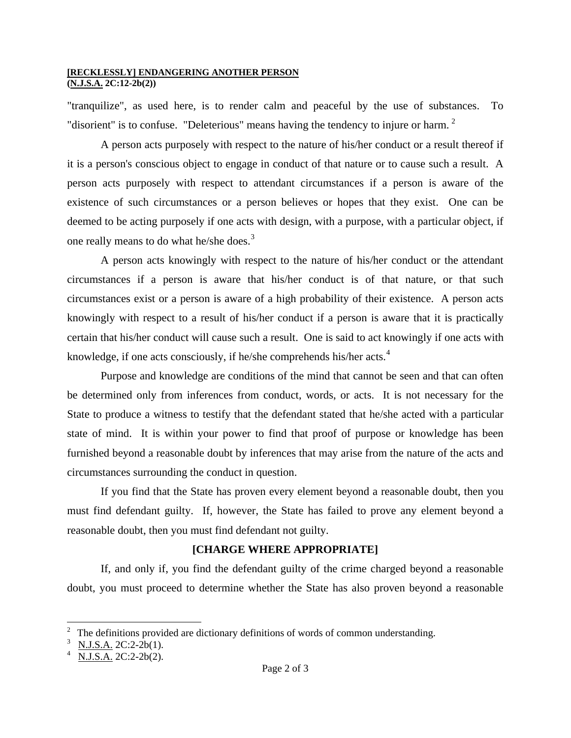#### **[RECKLESSLY] ENDANGERING ANOTHER PERSON (N.J.S.A. 2C:12-2b(2))**

"tranquilize", as used here, is to render calm and peaceful by the use of substances. To "disorient" is to confuse. "Deleterious" means having the tendency to injure or harm.  $2$ 

A person acts purposely with respect to the nature of his/her conduct or a result thereof if it is a person's conscious object to engage in conduct of that nature or to cause such a result. A person acts purposely with respect to attendant circumstances if a person is aware of the existence of such circumstances or a person believes or hopes that they exist. One can be deemed to be acting purposely if one acts with design, with a purpose, with a particular object, if one really means to do what he/she does.<sup>[3](#page-1-0)</sup>

A person acts knowingly with respect to the nature of his/her conduct or the attendant circumstances if a person is aware that his/her conduct is of that nature, or that such circumstances exist or a person is aware of a high probability of their existence. A person acts knowingly with respect to a result of his/her conduct if a person is aware that it is practically certain that his/her conduct will cause such a result. One is said to act knowingly if one acts with knowledge, if one acts consciously, if he/she comprehends his/her acts.<sup>[4](#page-1-1)</sup>

Purpose and knowledge are conditions of the mind that cannot be seen and that can often be determined only from inferences from conduct, words, or acts. It is not necessary for the State to produce a witness to testify that the defendant stated that he/she acted with a particular state of mind. It is within your power to find that proof of purpose or knowledge has been furnished beyond a reasonable doubt by inferences that may arise from the nature of the acts and circumstances surrounding the conduct in question.

If you find that the State has proven every element beyond a reasonable doubt, then you must find defendant guilty. If, however, the State has failed to prove any element beyond a reasonable doubt, then you must find defendant not guilty.

## **[CHARGE WHERE APPROPRIATE]**

If, and only if, you find the defendant guilty of the crime charged beyond a reasonable doubt, you must proceed to determine whether the State has also proven beyond a reasonable

 $\overline{a}$ 

<span id="page-1-2"></span> $2\degree$  The definitions provided are dictionary definitions of words of common understanding.

<span id="page-1-0"></span><sup>3</sup> N.J.S.A. 2C:2-2b(1).

<span id="page-1-1"></span><sup>4</sup> N.J.S.A. 2C:2-2b(2).